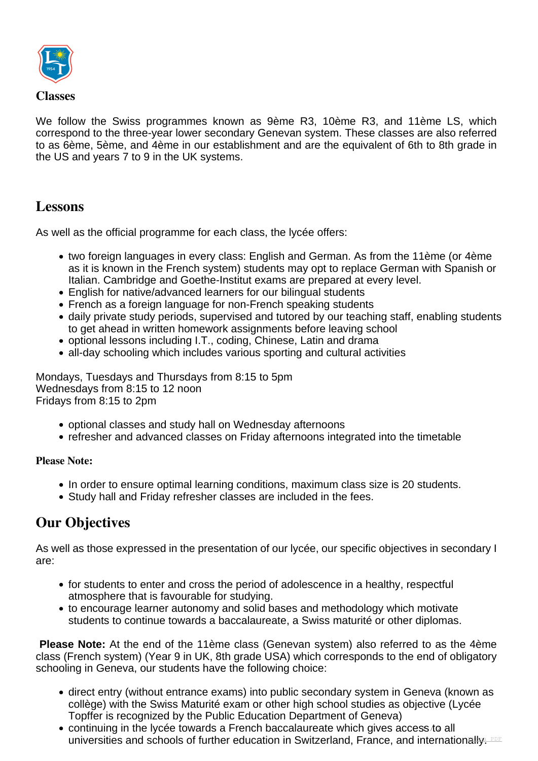

### **Classes**

We follow the Swiss programmes known as 9ème R3, 10ème R3, and 11ème LS, which correspond to the three-year lower secondary Genevan system. These classes are also referred to as 6ème, 5ème, and 4ème in our establishment and are the equivalent of 6th to 8th grade in the US and years 7 to 9 in the UK systems.

### **Lessons**

As well as the official programme for each class, the lycée offers:

- two foreign languages in every class: English and German. As from the 11ème (or 4ème as it is known in the French system) students may opt to replace German with Spanish or Italian. Cambridge and Goethe-Institut exams are prepared at every level.
- English for native/advanced learners for our bilingual students
- French as a foreign language for non-French speaking students
- daily private study periods, supervised and tutored by our teaching staff, enabling students to get ahead in written homework assignments before leaving school
- optional lessons including I.T., coding, Chinese, Latin and drama
- all-day schooling which includes various sporting and cultural activities

Mondays, Tuesdays and Thursdays from 8:15 to 5pm Wednesdays from 8:15 to 12 noon Fridays from 8:15 to 2pm

- optional classes and study hall on Wednesday afternoons
- refresher and advanced classes on Friday afternoons integrated into the timetable

#### **Please Note:**

- In order to ensure optimal learning conditions, maximum class size is 20 students.
- Study hall and Friday refresher classes are included in the fees.

# **Our Objectives**

As well as those expressed in the presentation of our lycée, our specific objectives in secondary I are:

- for students to enter and cross the period of adolescence in a healthy, respectful atmosphere that is favourable for studying.
- to encourage learner autonomy and solid bases and methodology which motivate students to continue towards a baccalaureate, a Swiss maturité or other diplomas.

**Please Note:** At the end of the 11ème class (Genevan system) also referred to as the 4ème class (French system) (Year 9 in UK, 8th grade USA) which corresponds to the end of obligatory schooling in Geneva, our students have the following choice:

- direct entry (without entrance exams) into public secondary system in Geneva (known as collège) with the Swiss Maturité exam or other high school studies as objective (Lycée Topffer is recognized by the Public Education Department of Geneva)
- continuing in the lycée towards a French baccalaureate which gives access to all universities and schools of further education in Switzerland, France, and internationally. PDF